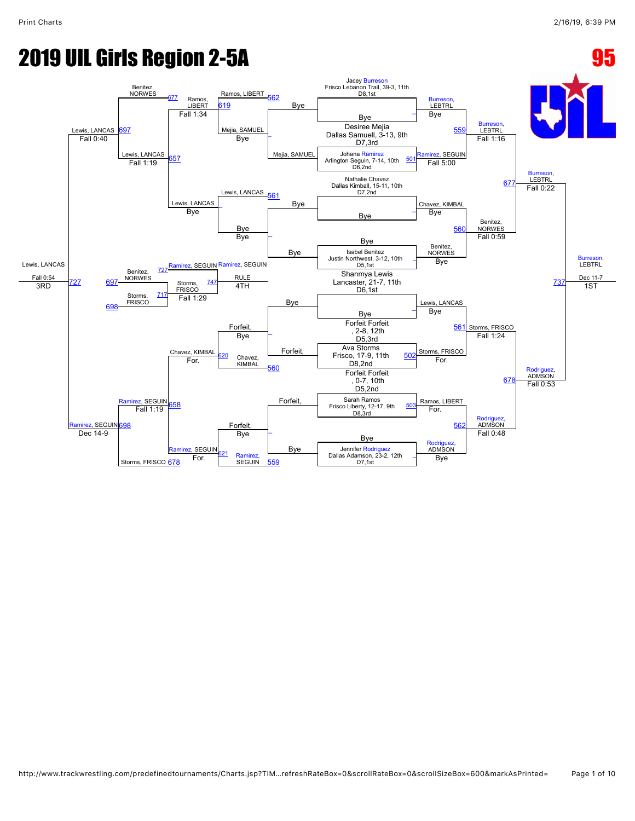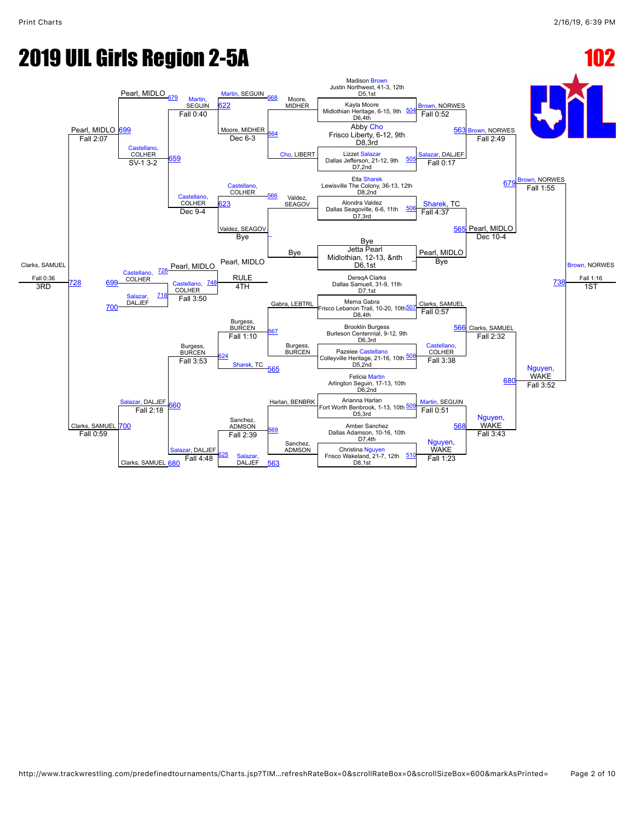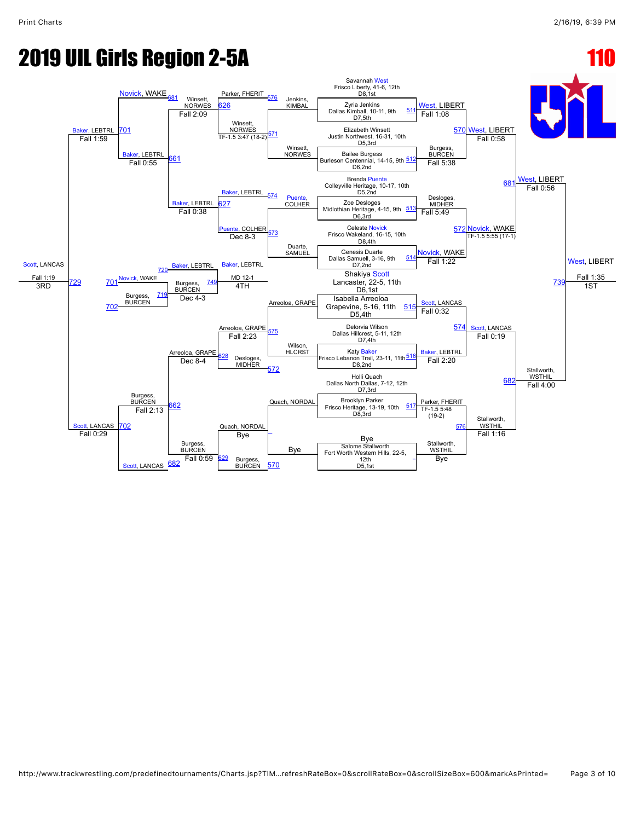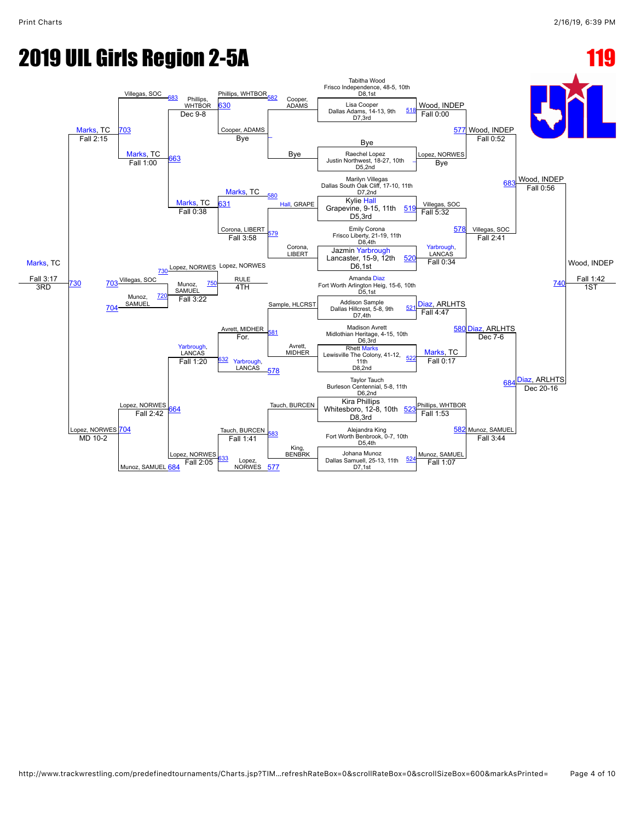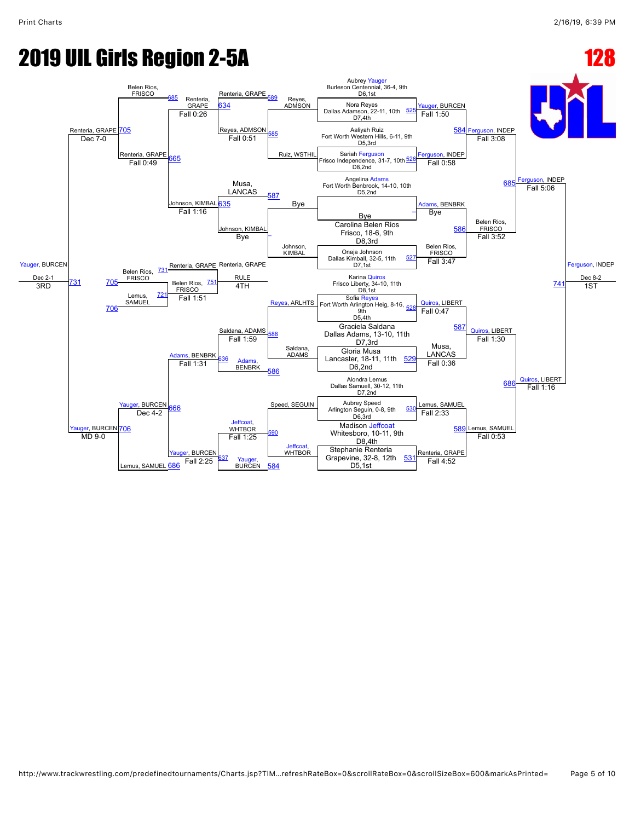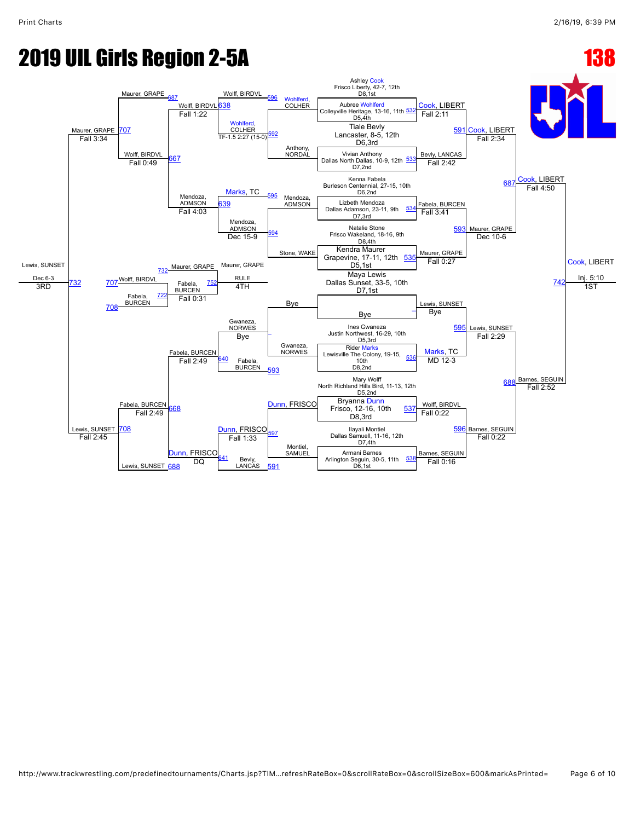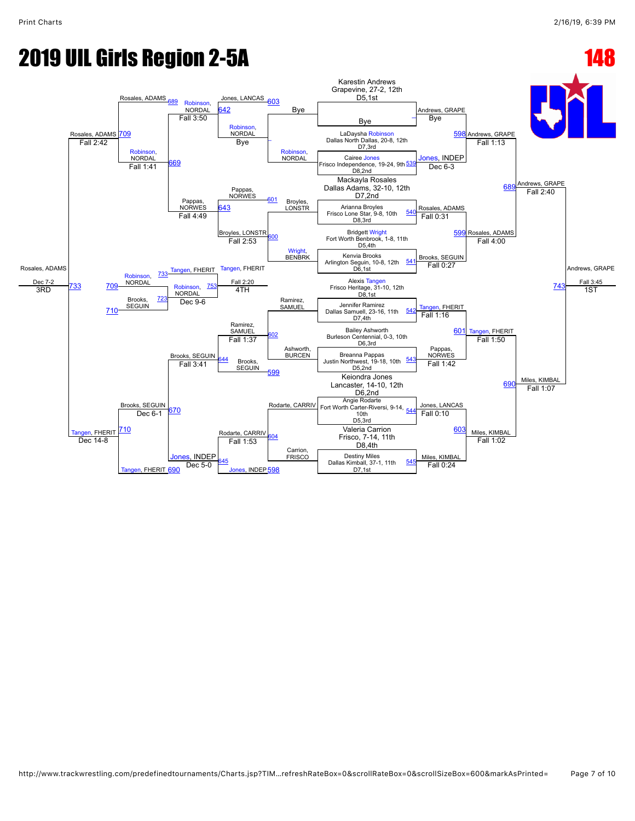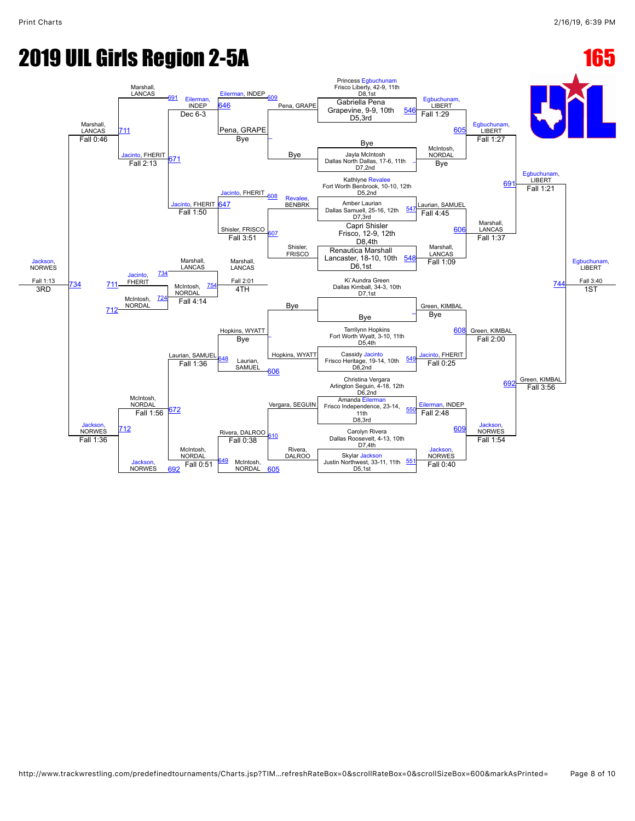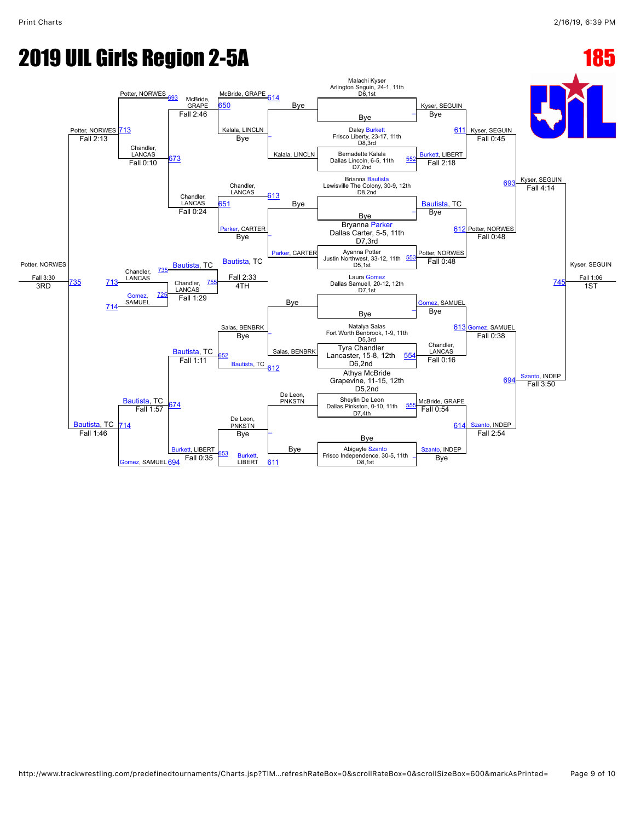